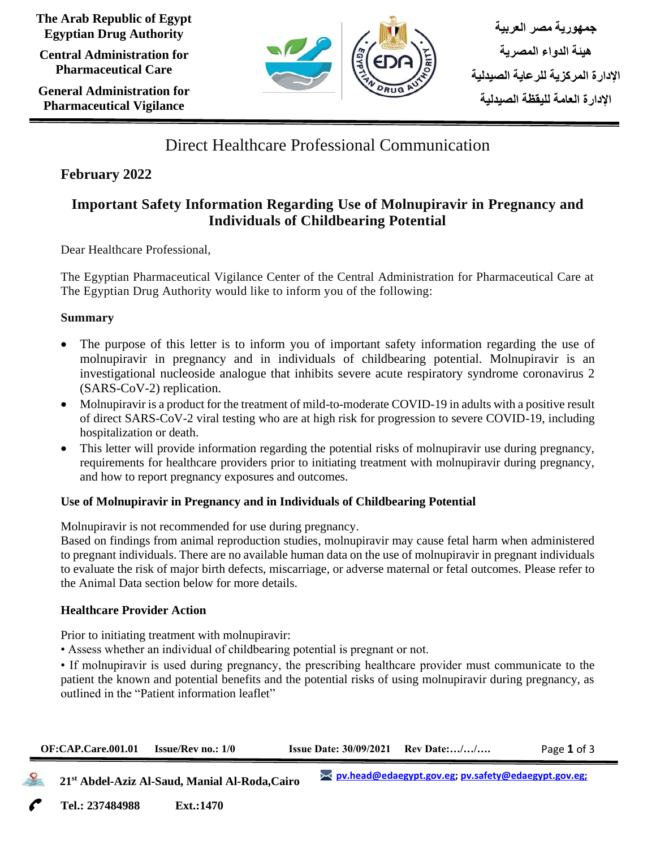**The Arab Republic of Egypt Egyptian Drug Authority**

**Central Administration for Pharmaceutical Care**

**General Administration for Pharmaceutical Vigilance**



# Direct Healthcare Professional Communication

# **February 2022**

# **Important Safety Information Regarding Use of Molnupiravir in Pregnancy and Individuals of Childbearing Potential**

Dear Healthcare Professional,

The Egyptian Pharmaceutical Vigilance Center of the Central Administration for Pharmaceutical Care at The Egyptian Drug Authority would like to inform you of the following:

### **Summary**

- The purpose of this letter is to inform you of important safety information regarding the use of molnupiravir in pregnancy and in individuals of childbearing potential. Molnupiravir is an investigational nucleoside analogue that inhibits severe acute respiratory syndrome coronavirus 2 (SARS-CoV-2) replication.
- Molnupiravir is a product for the treatment of mild-to-moderate COVID-19 in adults with a positive result of direct SARS-CoV-2 viral testing who are at high risk for progression to severe COVID-19, including hospitalization or death.
- This letter will provide information regarding the potential risks of molnupiravir use during pregnancy, requirements for healthcare providers prior to initiating treatment with molnupiravir during pregnancy, and how to report pregnancy exposures and outcomes.

# **Use of Molnupiravir in Pregnancy and in Individuals of Childbearing Potential**

Molnupiravir is not recommended for use during pregnancy.

Based on findings from animal reproduction studies, molnupiravir may cause fetal harm when administered to pregnant individuals. There are no available human data on the use of molnupiravir in pregnant individuals to evaluate the risk of major birth defects, miscarriage, or adverse maternal or fetal outcomes. Please refer to the Animal Data section below for more details.

# **Healthcare Provider Action**

Prior to initiating treatment with molnupiravir:

• Assess whether an individual of childbearing potential is pregnant or not.

• If molnupiravir is used during pregnancy, the prescribing healthcare provider must communicate to the patient the known and potential benefits and the potential risks of using molnupiravir during pregnancy, as outlined in the "Patient information leaflet"

| $OF: CAP.Care.001.01$ Issue/Rev no.: $1/0$ | <b>Issue Date: 30/09/2021</b> Rev Date:// | Page 1 of 3 |
|--------------------------------------------|-------------------------------------------|-------------|
|                                            |                                           |             |

 **21st Abdel-Aziz Al-Saud, Manial Al-Roda,Cairo**

**Tel.: 237484988 Ext.:1470 Cairo**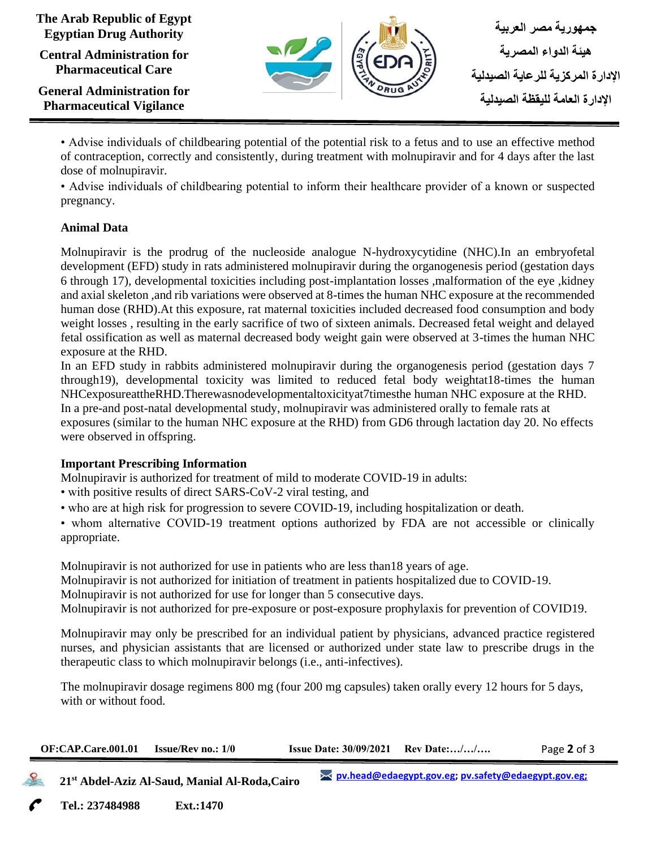#### **The Arab Republic of Egypt Egyptian Drug Authority**

**Central Administration for Pharmaceutical Care**

**General Administration for Pharmaceutical Vigilance**



• Advise individuals of childbearing potential of the potential risk to a fetus and to use an effective method of contraception, correctly and consistently, during treatment with molnupiravir and for 4 days after the last dose of molnupiravir.

• Advise individuals of childbearing potential to inform their healthcare provider of a known or suspected pregnancy.

# **Animal Data**

Molnupiravir is the prodrug of the nucleoside analogue N-hydroxycytidine (NHC).In an embryofetal development (EFD) study in rats administered molnupiravir during the organogenesis period (gestation days 6 through 17), developmental toxicities including post-implantation losses ,malformation of the eye ,kidney and axial skeleton ,and rib variations were observed at 8-times the human NHC exposure at the recommended human dose (RHD).At this exposure, rat maternal toxicities included decreased food consumption and body weight losses , resulting in the early sacrifice of two of sixteen animals. Decreased fetal weight and delayed fetal ossification as well as maternal decreased body weight gain were observed at 3-times the human NHC exposure at the RHD.

In an EFD study in rabbits administered molnupiravir during the organogenesis period (gestation days 7 through19), developmental toxicity was limited to reduced fetal body weightat18-times the human NHCexposureattheRHD.Therewasnodevelopmentaltoxicityat7timesthe human NHC exposure at the RHD. In a pre-and post-natal developmental study, molnupiravir was administered orally to female rats at exposures (similar to the human NHC exposure at the RHD) from GD6 through lactation day 20. No effects were observed in offspring.

# **Important Prescribing Information**

Molnupiravir is authorized for treatment of mild to moderate COVID-19 in adults:

• with positive results of direct SARS-CoV-2 viral testing, and

• who are at high risk for progression to severe COVID-19, including hospitalization or death.

• whom alternative COVID-19 treatment options authorized by FDA are not accessible or clinically appropriate.

Molnupiravir is not authorized for use in patients who are less than18 years of age.

Molnupiravir is not authorized for initiation of treatment in patients hospitalized due to COVID-19.

Molnupiravir is not authorized for use for longer than 5 consecutive days.

Molnupiravir is not authorized for pre-exposure or post-exposure prophylaxis for prevention of COVID19.

Molnupiravir may only be prescribed for an individual patient by physicians, advanced practice registered nurses, and physician assistants that are licensed or authorized under state law to prescribe drugs in the therapeutic class to which molnupiravir belongs (i.e., anti-infectives).

The molnupiravir dosage regimens 800 mg (four 200 mg capsules) taken orally every 12 hours for 5 days, with or without food.

| $OF: CAP.Care.001.01$ Issue/Rev no.: $1/0$ | <b>Issue Date: <math>30/09/2021</math> Rev Date://</b> | Page 2 of 3 |
|--------------------------------------------|--------------------------------------------------------|-------------|
|                                            |                                                        |             |

 **21st Abdel-Aziz Al-Saud, Manial Al-Roda,Cairo**

**Tel.: 237484988 Ext.:1470 Cairo**